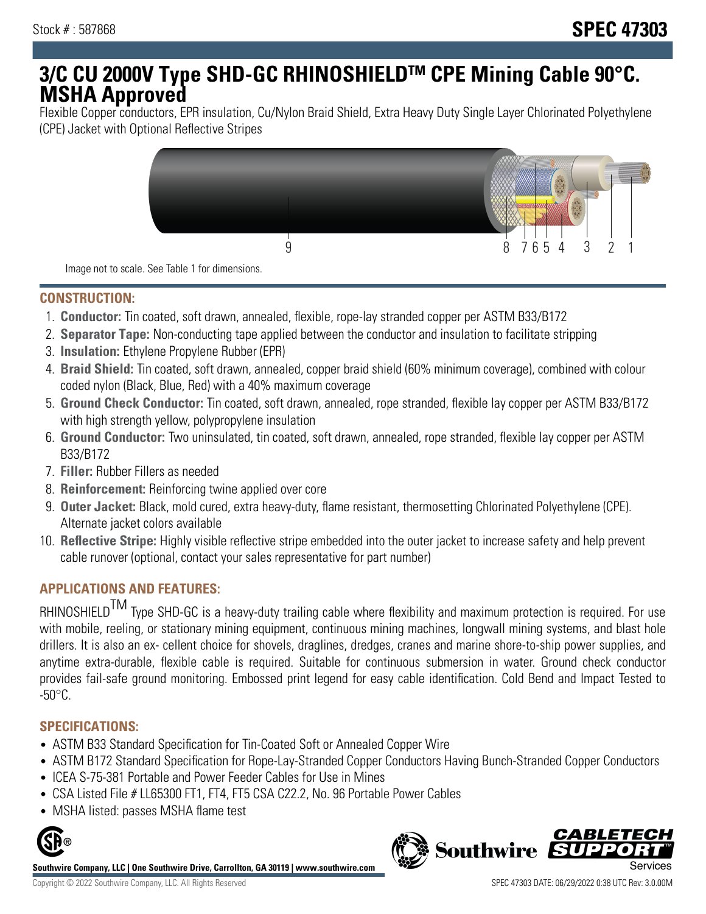# **3/C CU 2000V Type SHD-GC RHINOSHIELDTM CPE Mining Cable 90°C. MSHA Approved**

Flexible Copper conductors, EPR insulation, Cu/Nylon Braid Shield, Extra Heavy Duty Single Layer Chlorinated Polyethylene (CPE) Jacket with Optional Reflective Stripes



Image not to scale. See Table 1 for dimensions.

## **CONSTRUCTION:**

- 1. **Conductor:** Tin coated, soft drawn, annealed, flexible, rope-lay stranded copper per ASTM B33/B172
- 2. **Separator Tape:** Non-conducting tape applied between the conductor and insulation to facilitate stripping
- 3. **Insulation:** Ethylene Propylene Rubber (EPR)
- 4. **Braid Shield:** Tin coated, soft drawn, annealed, copper braid shield (60% minimum coverage), combined with colour coded nylon (Black, Blue, Red) with a 40% maximum coverage
- 5. **Ground Check Conductor:** Tin coated, soft drawn, annealed, rope stranded, flexible lay copper per ASTM B33/B172 with high strength yellow, polypropylene insulation
- 6. **Ground Conductor:** Two uninsulated, tin coated, soft drawn, annealed, rope stranded, flexible lay copper per ASTM B33/B172
- 7. **Filler:** Rubber Fillers as needed
- 8. **Reinforcement:** Reinforcing twine applied over core
- 9. **Outer Jacket:** Black, mold cured, extra heavy-duty, flame resistant, thermosetting Chlorinated Polyethylene (CPE). Alternate jacket colors available
- 10. **Reflective Stripe:** Highly visible reflective stripe embedded into the outer jacket to increase safety and help prevent cable runover (optional, contact your sales representative for part number)

## **APPLICATIONS AND FEATURES:**

RHINOSHIELD<sup>TM</sup> Type SHD-GC is a heavy-duty trailing cable where flexibility and maximum protection is required. For use with mobile, reeling, or stationary mining equipment, continuous mining machines, longwall mining systems, and blast hole drillers. It is also an ex- cellent choice for shovels, draglines, dredges, cranes and marine shore-to-ship power supplies, and anytime extra-durable, flexible cable is required. Suitable for continuous submersion in water. Ground check conductor provides fail-safe ground monitoring. Embossed print legend for easy cable identification. Cold Bend and Impact Tested to  $-50^{\circ}$ C.

### **SPECIFICATIONS:**

- ASTM B33 Standard Specification for Tin-Coated Soft or Annealed Copper Wire
- ASTM B172 Standard Specification for Rope-Lay-Stranded Copper Conductors Having Bunch-Stranded Copper Conductors
- ICEA S-75-381 Portable and Power Feeder Cables for Use in Mines
- CSA Listed File # LL65300 FT1, FT4, FT5 CSA C22.2, No. 96 Portable Power Cables
- MSHA listed: passes MSHA flame test



**Southwire Company, LLC | One Southwire Drive, Carrollton, GA 30119 | www.southwire.com**

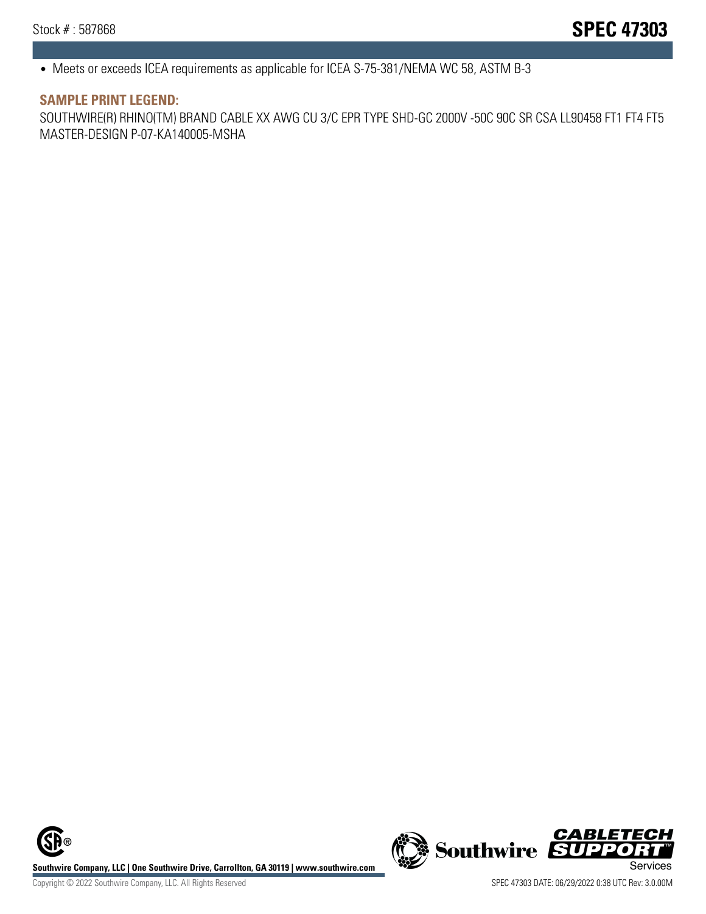• Meets or exceeds ICEA requirements as applicable for ICEA S-75-381/NEMA WC 58, ASTM B-3

#### **SAMPLE PRINT LEGEND:**

SOUTHWIRE(R) RHINO(TM) BRAND CABLE XX AWG CU 3/C EPR TYPE SHD-GC 2000V -50C 90C SR CSA LL90458 FT1 FT4 FT5 MASTER-DESIGN P-07-KA140005-MSHA

**Southwire Company, LLC | One Southwire Drive, Carrollton, GA 30119 | www.southwire.com**<br>Services